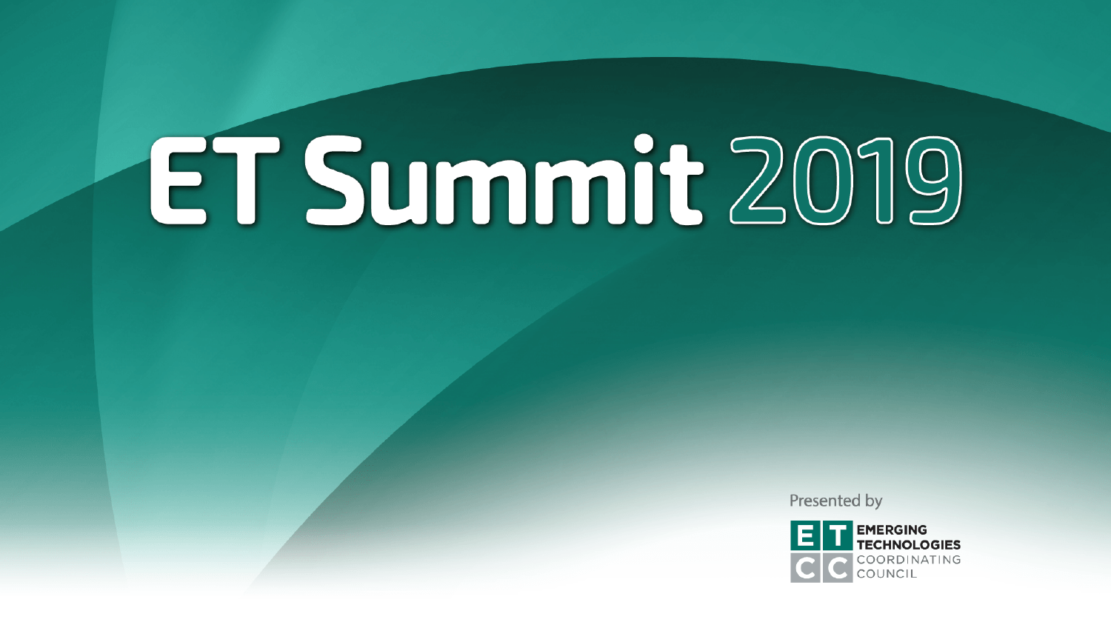Presented by

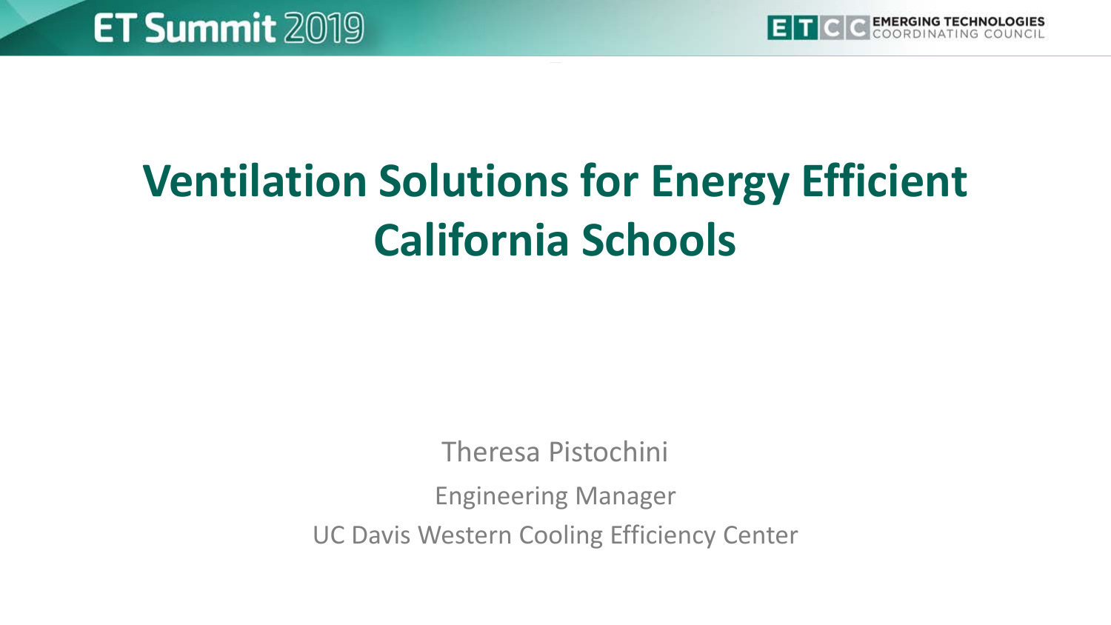

# **Ventilation Solutions for Energy Efficient California Schools**

Theresa Pistochini

Engineering Manager UC Davis Western Cooling Efficiency Center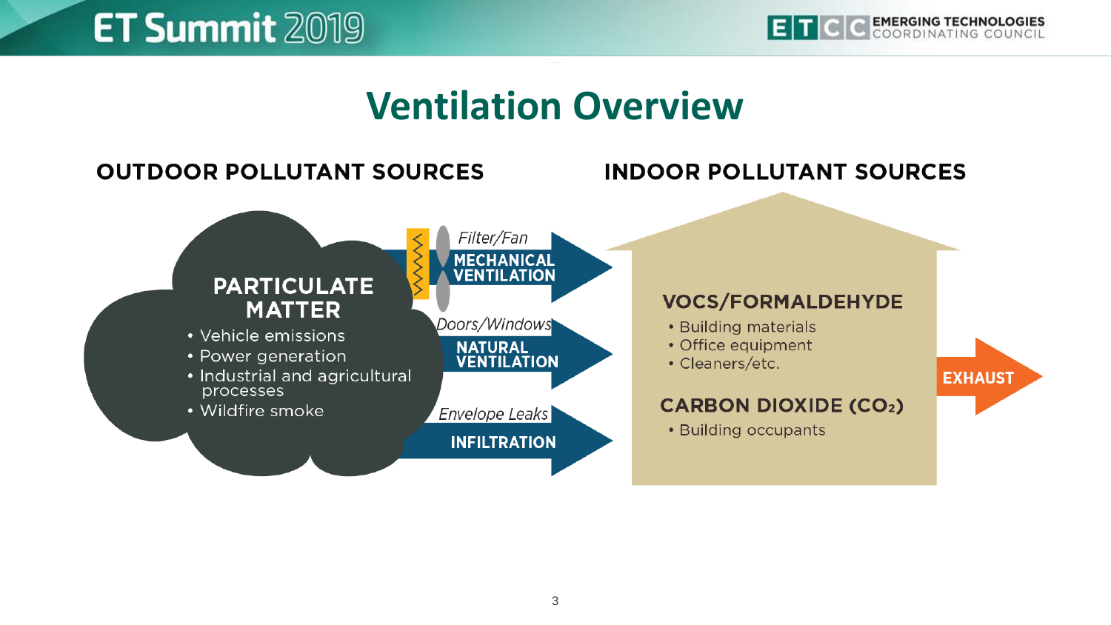

#### **Ventilation Overview**

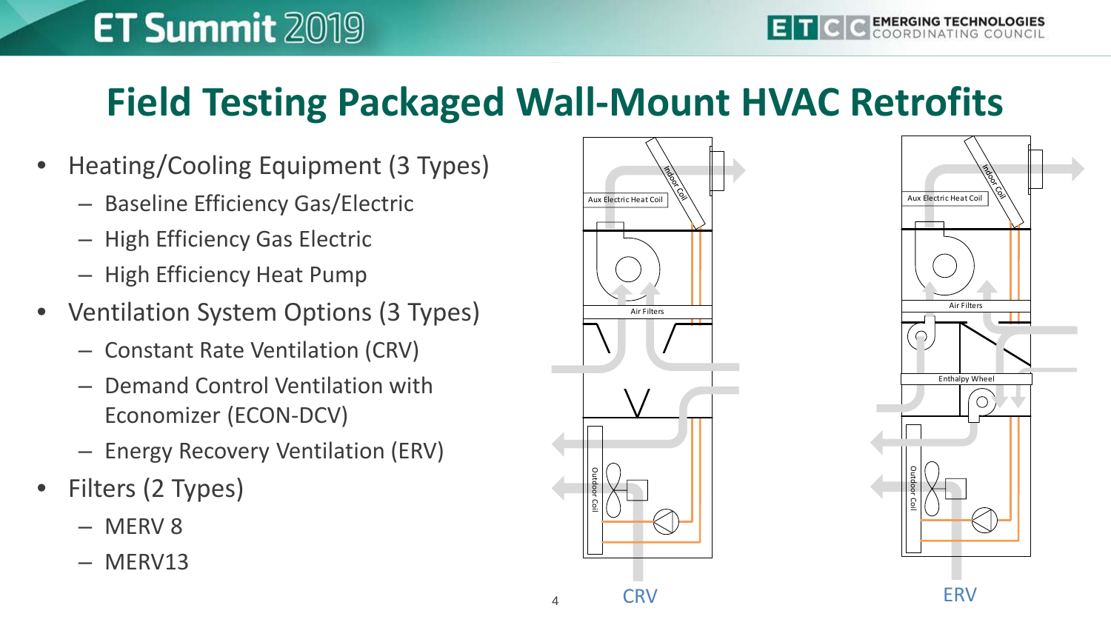#### **Field Testing Packaged Wall-Mount HVAC Retrofits**

- Heating/Cooling Equipment (3 Types)
	- Baseline Efficiency Gas/Electric
	- High Efficiency Gas Electric
	- High Efficiency Heat Pump
- Ventilation System Options (3 Types)
	- Constant Rate Ventilation (CRV)
	- Demand Control Ventilation with Economizer (ECON-DCV)
	- Energy Recovery Ventilation (ERV) TSI DustTrak II 8530
- Filters (2 Types)
	- MERV 8
	- MERV13



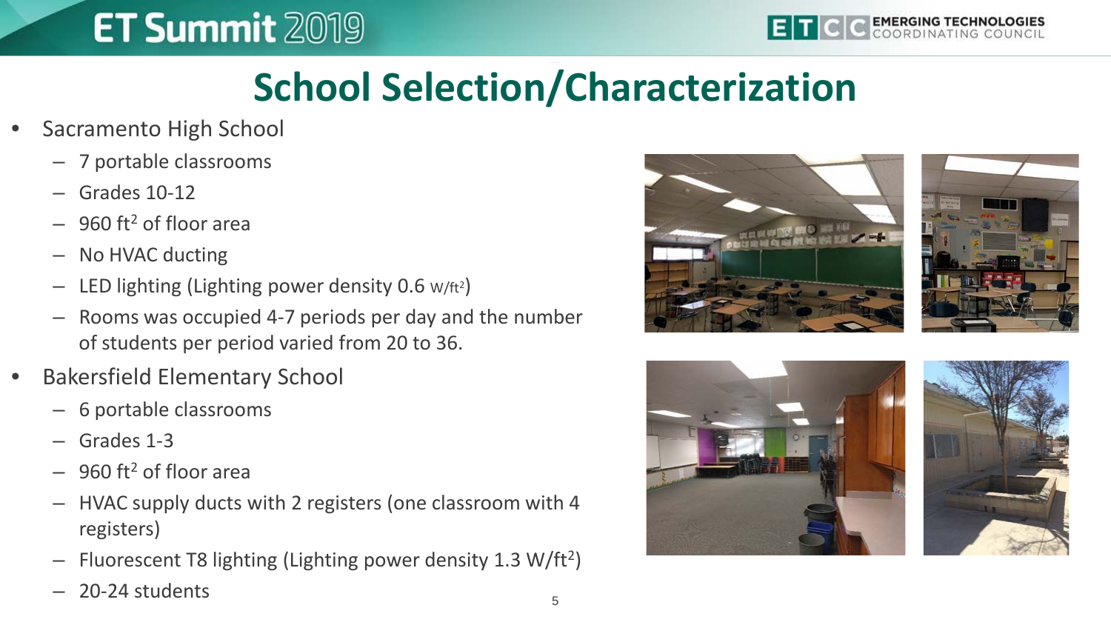

### **School Selection/Characterization**

- Sacramento High School
	- 7 portable classrooms
	- Grades 10-12
	- $-960$  ft<sup>2</sup> of floor area
	- No HVAC ducting
	- $-$  LED lighting (Lighting power density 0.6 w/ft<sup>2</sup>)
	- Rooms was occupied 4-7 periods per day and the number of students per period varied from 20 to 36.
- Bakersfield Elementary School
	- 6 portable classrooms
	- Grades 1-3
	- $-$  960 ft<sup>2</sup> of floor area
	- HVAC supply ducts with 2 registers (one classroom with 4 registers)
	- Fluorescent T8 lighting (Lighting power density 1.3 W/ft2)
	- 20-24 students







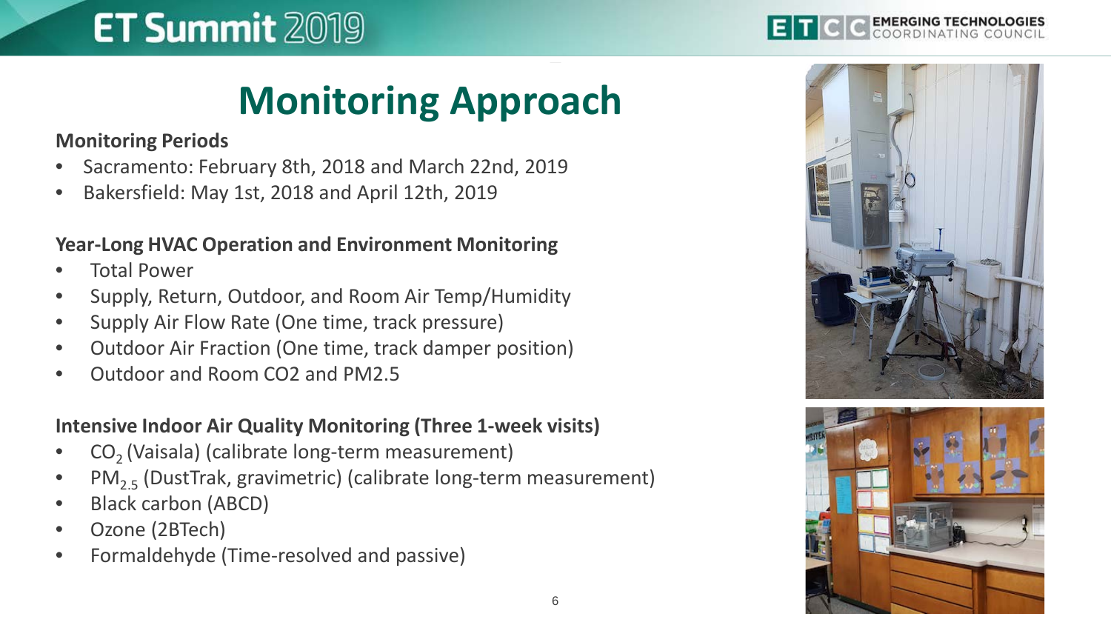### **Monitoring Approach**

**Monitoring Periods**

- Sacramento: February 8th, 2018 and March 22nd, 2019
- Bakersfield: May 1st, 2018 and April 12th, 2019

#### **Year-Long HVAC Operation and Environment Monitoring**

- **Total Power**
- Supply, Return, Outdoor, and Room Air Temp/Humidity
- Supply Air Flow Rate (One time, track pressure)
- Outdoor Air Fraction (One time, track damper position)
- Outdoor and Room CO2 and PM2.5

#### **Intensive Indoor Air Quality Monitoring (Three 1-week visits)**

- CO<sub>2</sub> (Vaisala) (calibrate long-term measurement)
- $PM_{2.5}$  (DustTrak, gravimetric) (calibrate long-term measurement)
- Black carbon (ABCD)
- Ozone (2BTech)
- Formaldehyde (Time-resolved and passive)

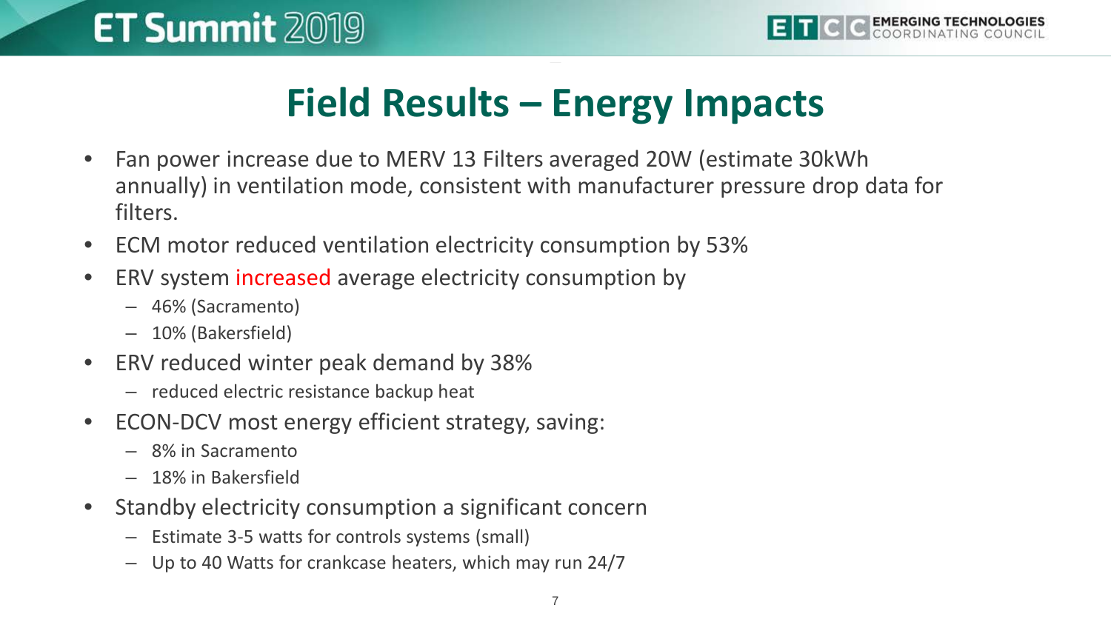### **Field Results – Energy Impacts**

- Fan power increase due to MERV 13 Filters averaged 20W (estimate 30kWh annually) in ventilation mode, consistent with manufacturer pressure drop data for filters.
- ECM motor reduced ventilation electricity consumption by 53%
- ERV system increased average electricity consumption by
	- 46% (Sacramento)
	- 10% (Bakersfield)
- ERV reduced winter peak demand by 38%
	- reduced electric resistance backup heat
- ECON-DCV most energy efficient strategy, saving:
	- 8% in Sacramento
	- 18% in Bakersfield
- Standby electricity consumption a significant concern
	- Estimate 3-5 watts for controls systems (small)
	- Up to 40 Watts for crankcase heaters, which may run 24/7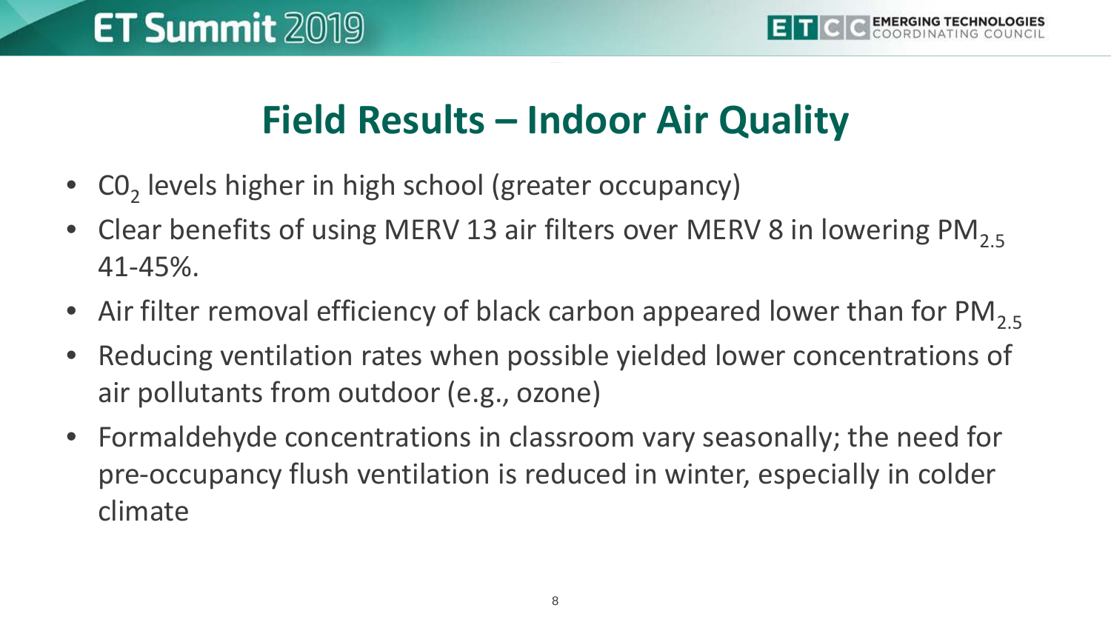#### **Field Results – Indoor Air Quality**

- $CO<sub>2</sub>$  levels higher in high school (greater occupancy)
- Clear benefits of using MERV 13 air filters over MERV 8 in lowering PM<sub>2.5</sub> 41-45%.
- Air filter removal efficiency of black carbon appeared lower than for  $PM_{2.5}$
- Reducing ventilation rates when possible yielded lower concentrations of air pollutants from outdoor (e.g., ozone)
- Formaldehyde concentrations in classroom vary seasonally; the need for pre-occupancy flush ventilation is reduced in winter, especially in colder climate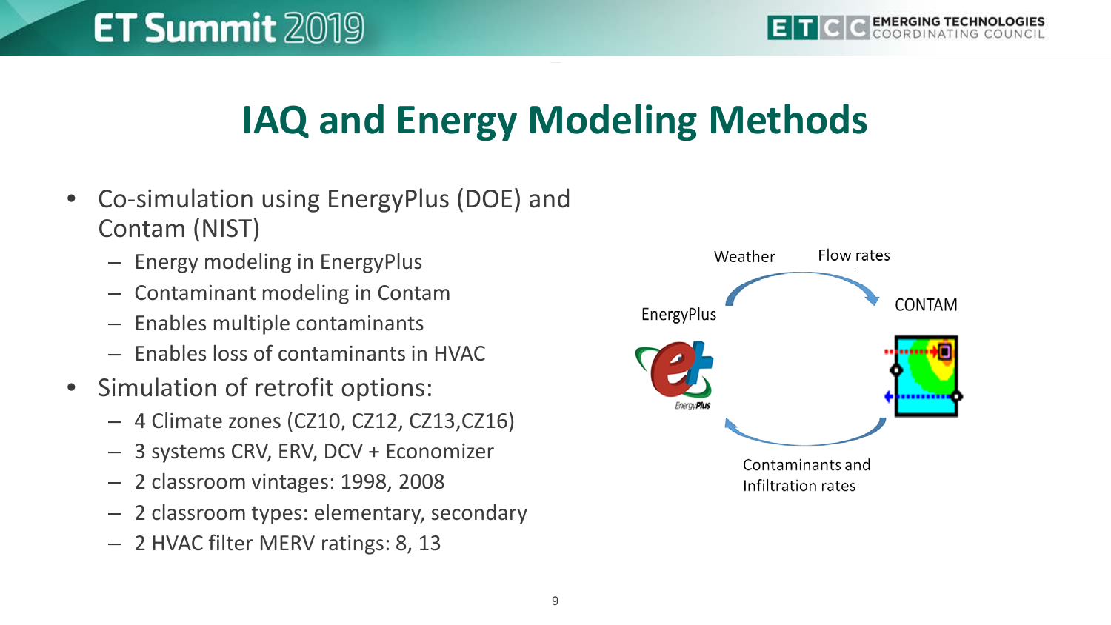### **IAQ and Energy Modeling Methods**

- Co-simulation using EnergyPlus (DOE) and Contam (NIST)
	- Energy modeling in EnergyPlus
	- Contaminant modeling in Contam
	- Enables multiple contaminants
	- Enables loss of contaminants in HVAC
- Simulation of retrofit options:
	- 4 Climate zones (CZ10, CZ12, CZ13,CZ16)
	- 3 systems CRV, ERV, DCV + Economizer
	- 2 classroom vintages: 1998, 2008
	- 2 classroom types: elementary, secondary
	- 2 HVAC filter MERV ratings: 8, 13

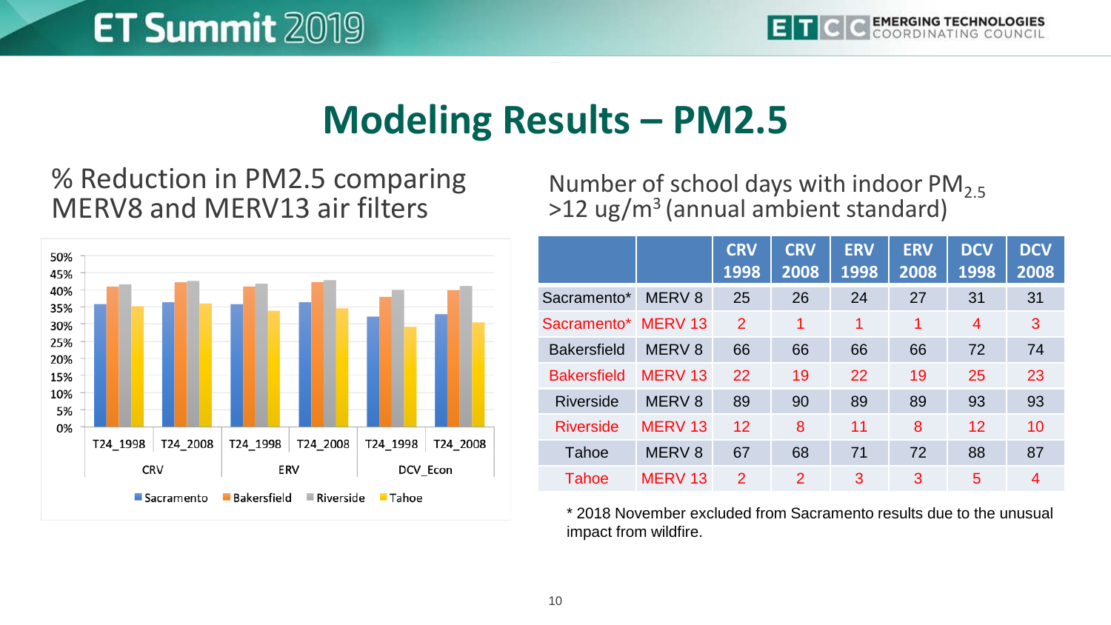#### **Modeling Results – PM2.5**

#### % Reduction in PM2.5 comparing MERV8 and MERV13 air filters



Number of school days with indoor  $PM_{2.5}$  $>12$  ug/m<sup>3</sup> (annual ambient standard)

|                    |                    | <b>CRV</b><br>1998 | <b>CRV</b><br>2008 | <b>ERV</b><br>1998 | <b>ERV</b><br>2008 | <b>DCV</b><br>1998 | <b>DCV</b><br>2008 |
|--------------------|--------------------|--------------------|--------------------|--------------------|--------------------|--------------------|--------------------|
| Sacramento*        | MERV <sub>8</sub>  | 25                 | 26                 | 24                 | 27                 | 31                 | 31                 |
| Sacramento*        | MERV <sub>13</sub> | 2                  | 1                  | 1                  | 1                  | 4                  | 3                  |
| <b>Bakersfield</b> | MERV <sub>8</sub>  | 66                 | 66                 | 66                 | 66                 | 72                 | 74                 |
| <b>Bakersfield</b> | MERV <sub>13</sub> | 22                 | 19                 | 22                 | 19                 | 25                 | 23                 |
| Riverside          | MERV <sub>8</sub>  | 89                 | 90                 | 89                 | 89                 | 93                 | 93                 |
| <b>Riverside</b>   | MERV <sub>13</sub> | 12                 | 8                  | 11                 | 8                  | 12                 | 10                 |
| Tahoe              | MERV <sub>8</sub>  | 67                 | 68                 | 71                 | 72                 | 88                 | 87                 |
| Tahoe              | MERV <sub>13</sub> | $\mathcal{P}$      | $\mathcal{P}$      | 3                  | 3                  | 5                  | 4                  |

\* 2018 November excluded from Sacramento results due to the unusual impact from wildfire.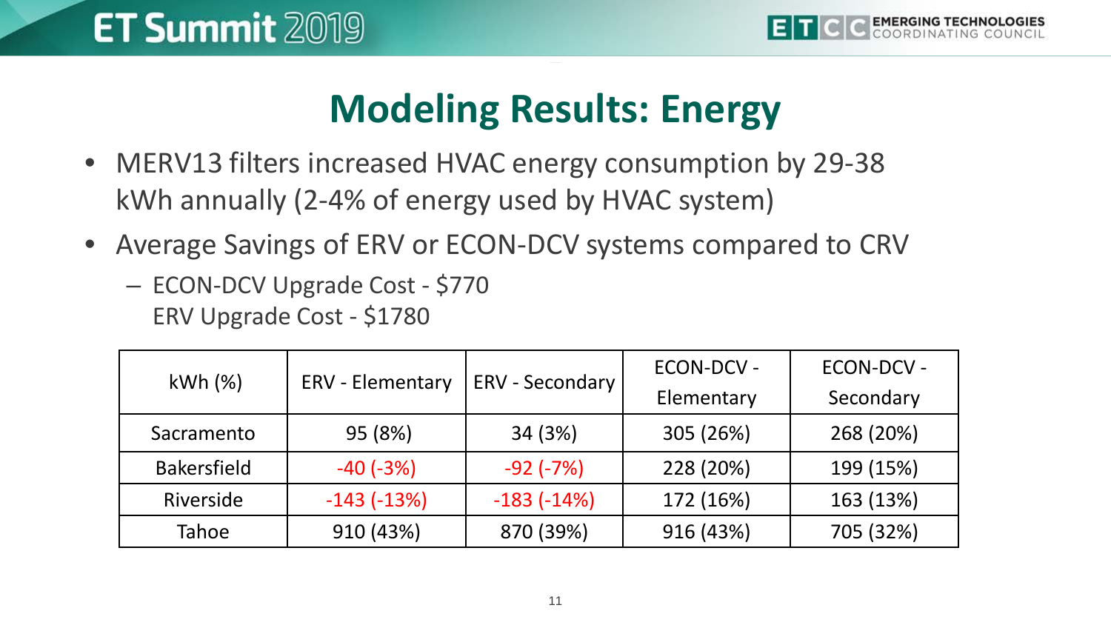#### **Modeling Results: Energy**

- MERV13 filters increased HVAC energy consumption by 29-38 kWh annually (2-4% of energy used by HVAC system)
- Average Savings of ERV or ECON-DCV systems compared to CRV
	- ECON-DCV Upgrade Cost \$770 ERV Upgrade Cost - \$1780

| kWh(%)             |                  |                  | <b>ECON-DCV -</b> | <b>ECON-DCV -</b> |  |
|--------------------|------------------|------------------|-------------------|-------------------|--|
|                    | ERV - Elementary | ERV - Secondary  | Elementary        | Secondary         |  |
| Sacramento         | 95 (8%)          | 34 (3%)          | 305 (26%)         | 268 (20%)         |  |
| <b>Bakersfield</b> | $-40(-3%)$       | $-92$ ( $-7\%$ ) | 228 (20%)         | 199 (15%)         |  |
| Riverside          | $-143(-13%)$     | $-183(-14%)$     | 172 (16%)         | 163 (13%)         |  |
| Tahoe              | 910 (43%)        | 870 (39%)        | 916 (43%)         | 705 (32%)         |  |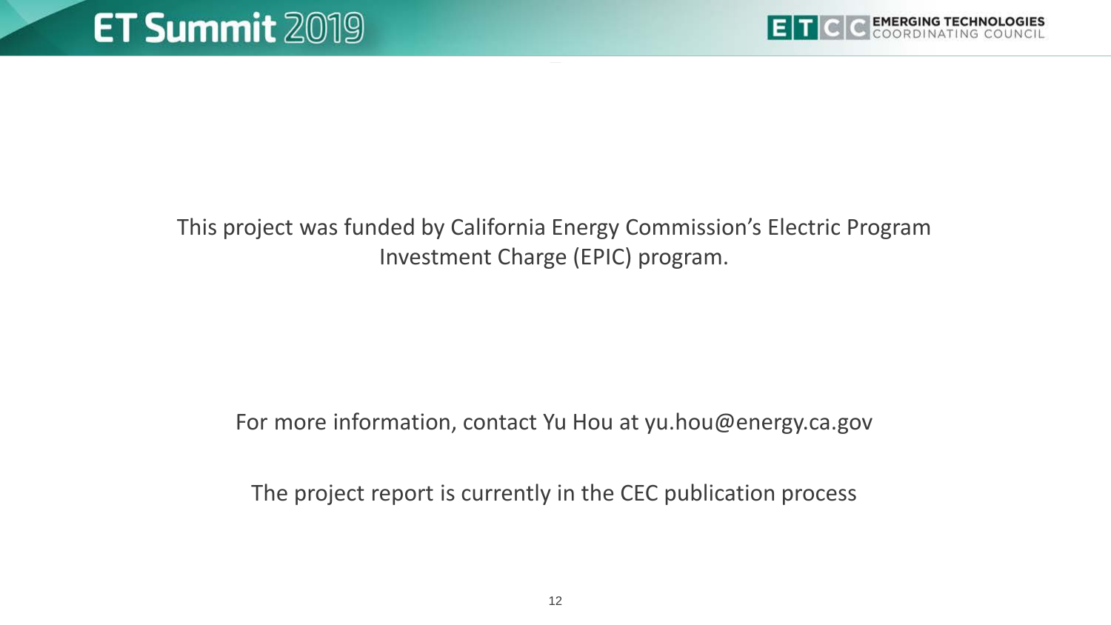

#### This project was funded by California Energy Commission's Electric Program Investment Charge (EPIC) program.

#### For more information, contact Yu Hou at yu.hou@energy.ca.gov

The project report is currently in the CEC publication process